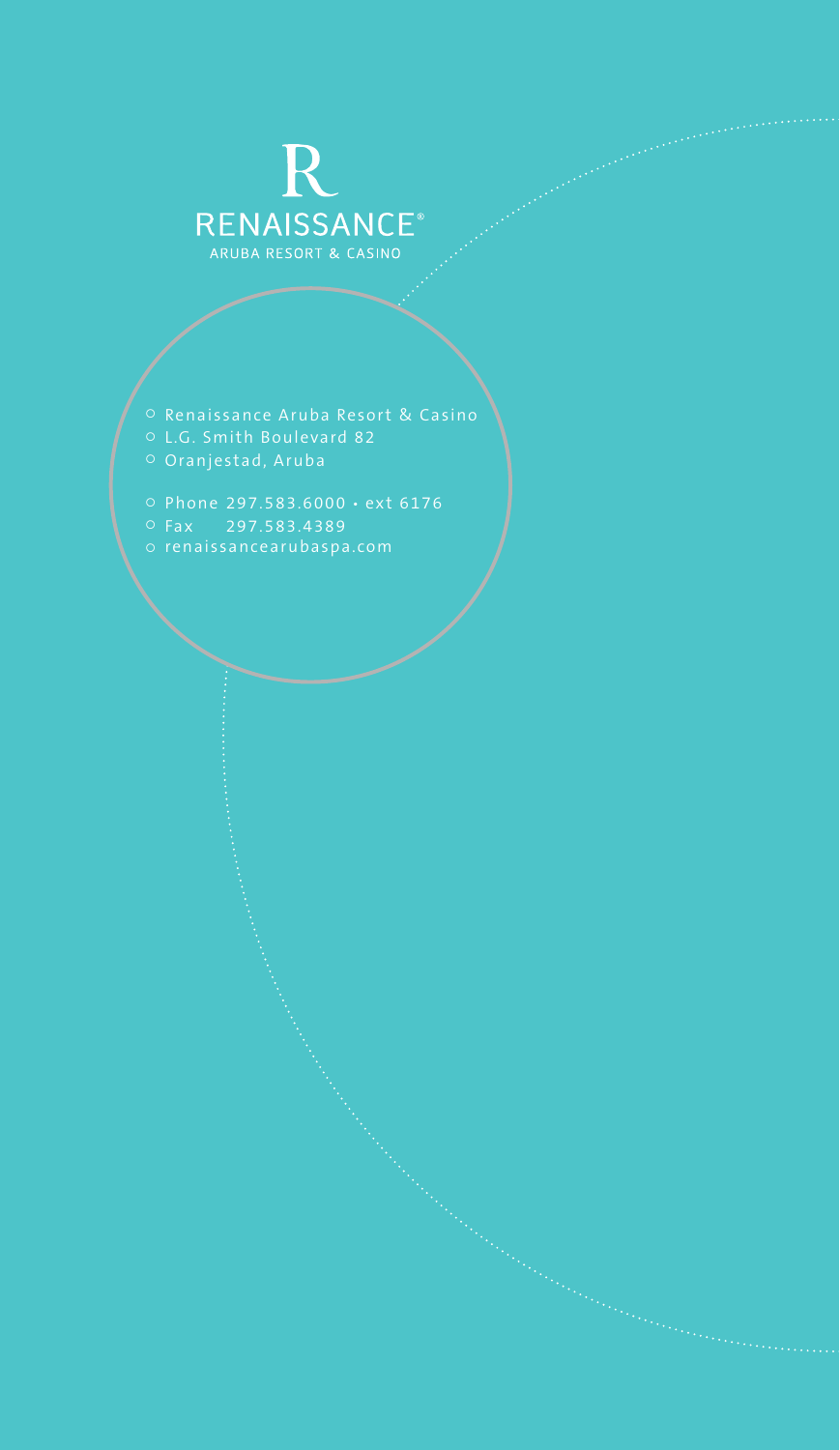# RENAISSANCE®<br>RENAISSANCE®

- 
- 
- 
- 
-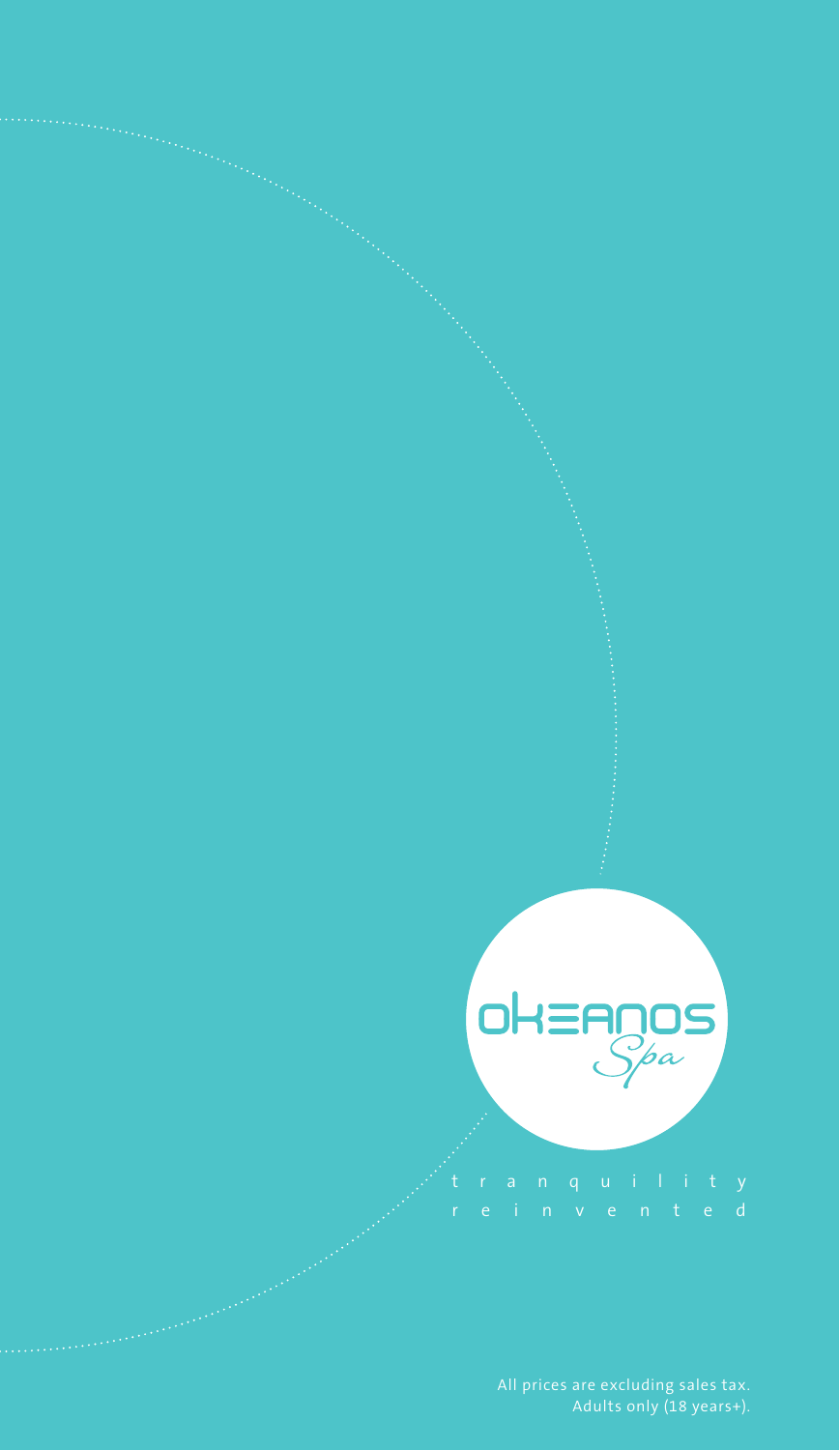

All prices are excluding sales tax. Adults only (18 years+).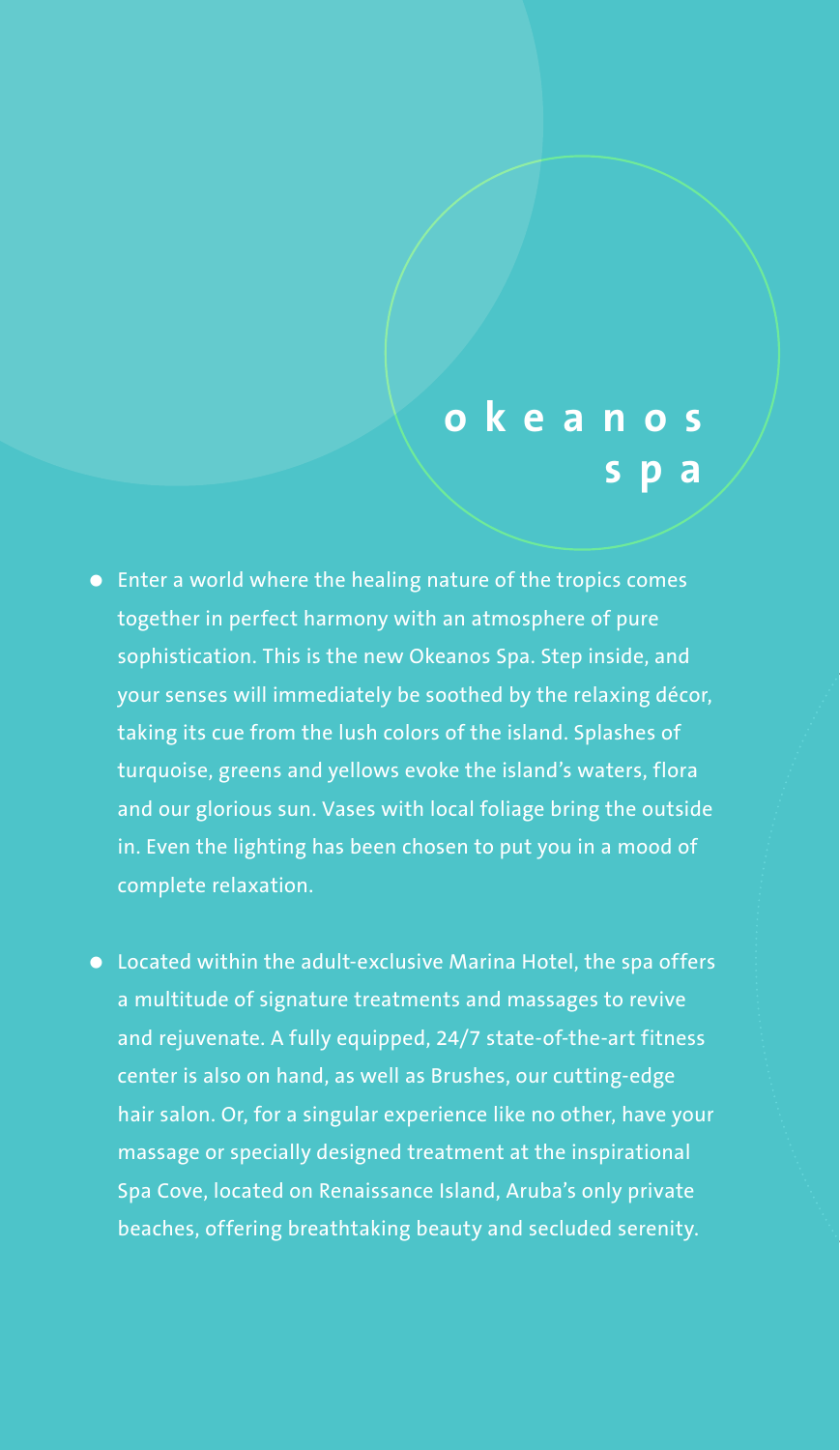# **okeanos s**

- Enter a world where the healing nature of the tropics comes together in perfect harmony with an atmosphere of pure sophistication. This is the new Okeanos Spa. Step inside, and your senses will immediately be soothed by the relaxing décor, taking its cue from the lush colors of the island. Splashes of turquoise, greens and yellows evoke the island's waters, flora and our glorious sun. Vases with local foliage bring the outside in. Even the lighting has been chosen to put you in a mood of complete relaxation.
- Located within the adult-exclusive Marina Hotel, the spa offers a multitude of signature treatments and massages to revive and rejuvenate. A fully equipped, 24/7 state-of-the-art fitness center is also on hand, as well as Brushes, our cutting-edge hair salon. Or, for a singular experience like no other, have your massage or specially designed treatment at the inspirational Spa Cove, located on Renaissance Island, Aruba's only private beaches, offering breathtaking beauty and secluded serenity.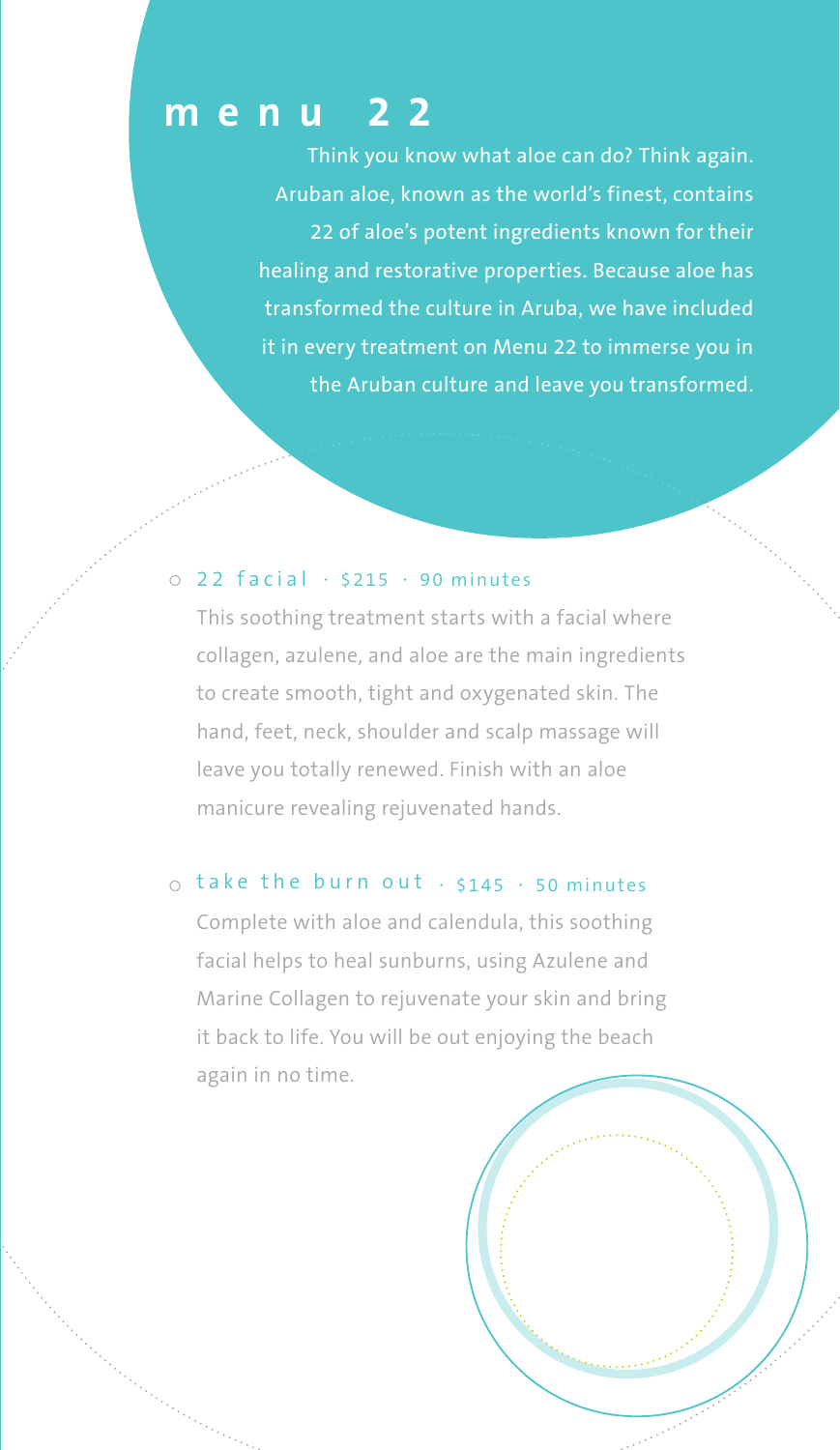# **menu 22**

Think you know what aloe can do? Think again. Aruban aloe, known as the world's finest, contains 22 of aloe's potent ingredients known for their healing and restorative properties. Because aloe has transformed the culture in Aruba, we have included it in every treatment on Menu 22 to immerse you in the Aruban culture and leave you transformed.

#### $\circ$  22 facial  $\cdot$  \$215  $\cdot$  90 minutes

This soothing treatment starts with a facial where collagen, azulene, and aloe are the main ingredients to create smooth, tight and oxygenated skin. The hand, feet, neck, shoulder and scalp massage will leave you totally renewed. Finish with an aloe manicure revealing rejuvenated hands.

#### $\circ$  take the burn out  $\cdot$  \$145  $\cdot$  50 minutes

Complete with aloe and calendula, this soothing facial helps to heal sunburns, using Azulene and Marine Collagen to rejuvenate your skin and bring it back to life. You will be out enjoying the beach again in no time.

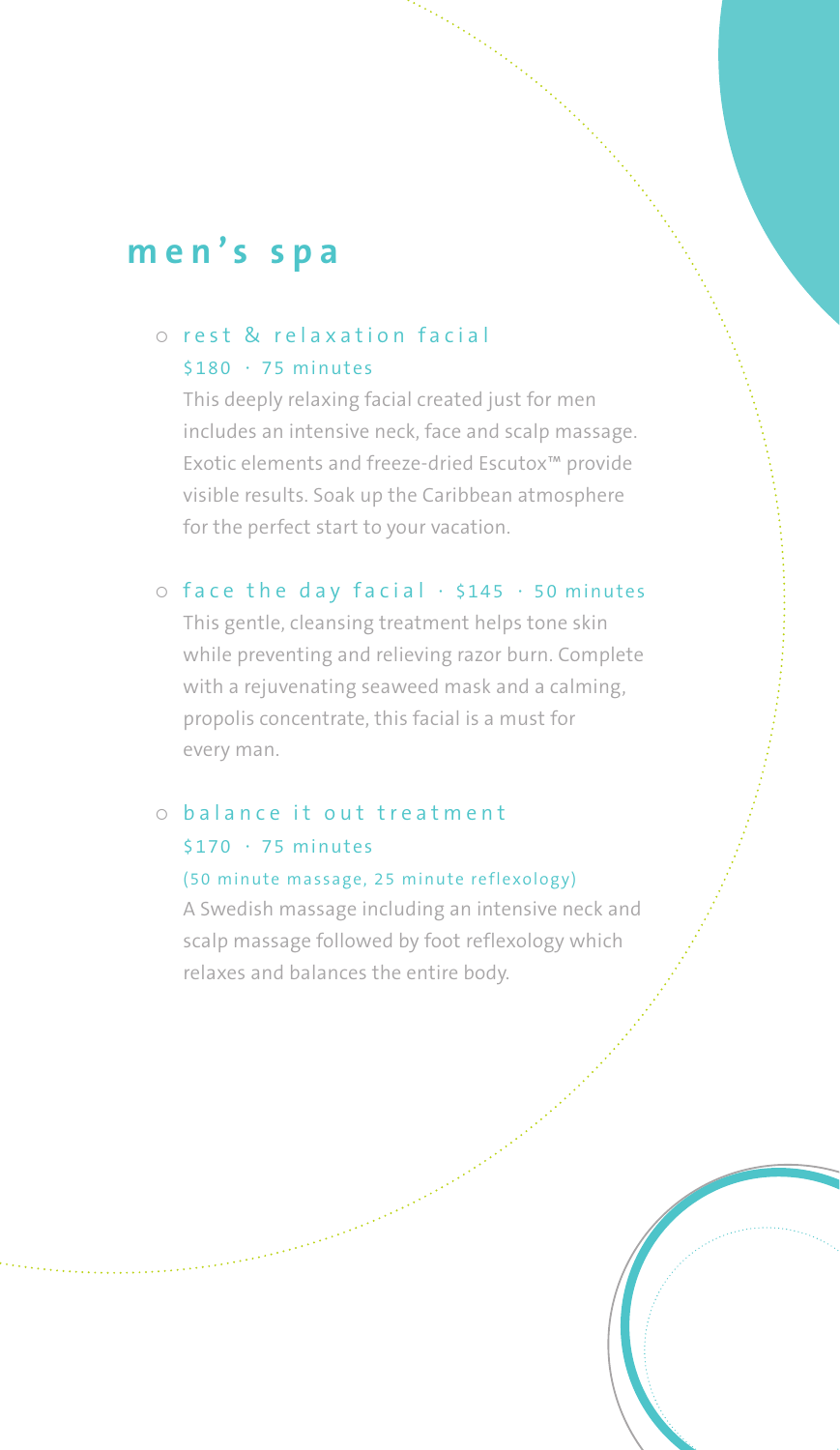# **men's spa**

#### o rest & relaxation facial  $$180 \cdot 75$  minutes

This deeply relaxing facial created just for men includes an intensive neck, face and scalp massage. Exotic elements and freeze-dried Escutox™ provide visible results. Soak up the Caribbean atmosphere for the perfect start to your vacation.

#### $\circ$  face the day facial  $\cdot$  \$145  $\cdot$  50 minutes

This gentle, cleansing treatment helps tone skin while preventing and relieving razor burn. Complete with a rejuvenating seaweed mask and a calming, propolis concentrate, this facial is a must for every man.

# $\circ$  balance it out treatment  $$170 \cdot 75 \text{ minutes}$

#### (50 minute massage, 25 minute reflexology)

A Swedish massage including an intensive neck and scalp massage followed by foot reflexology which relaxes and balances the entire body.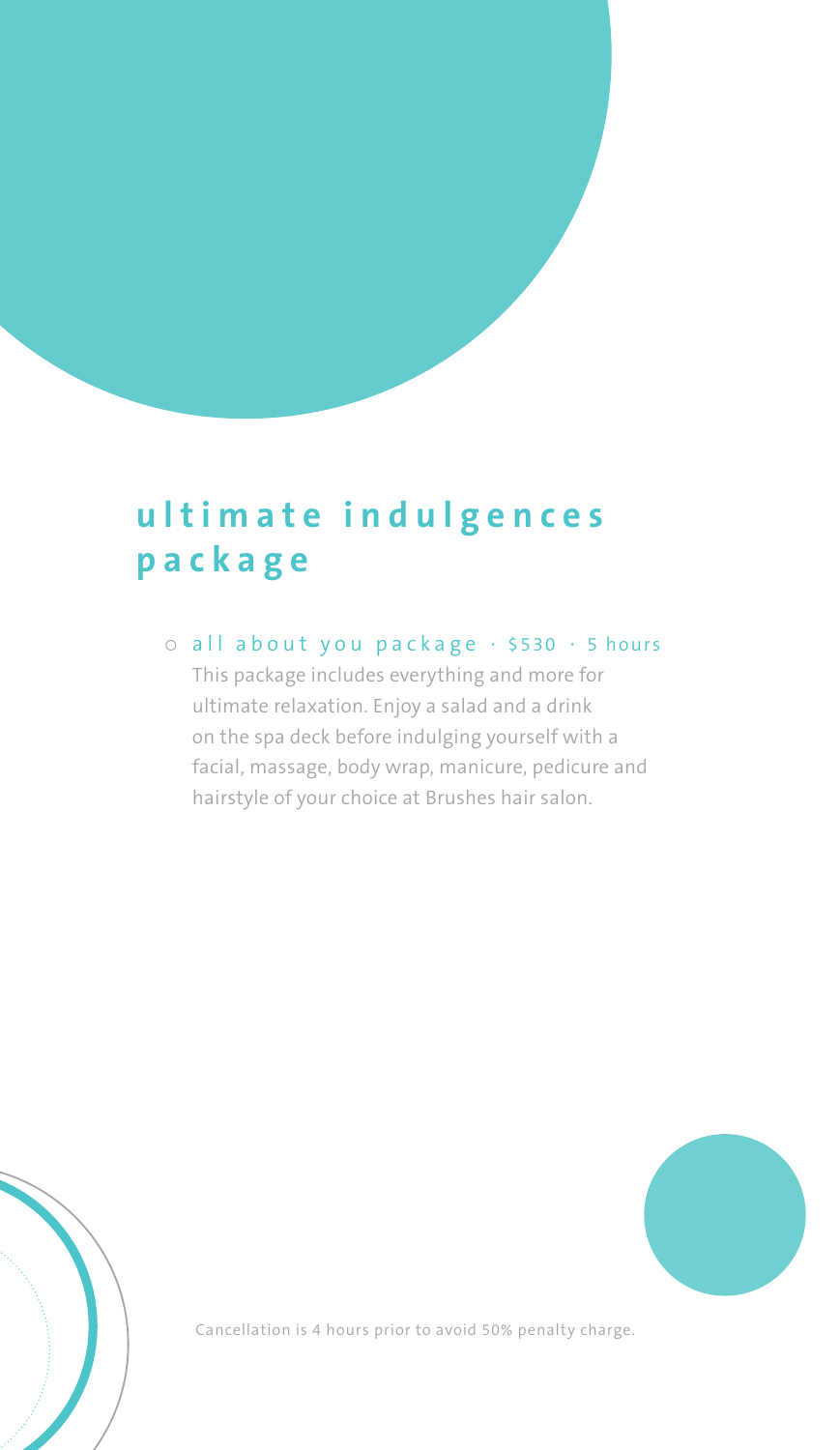# **ultimate indulgences package**

 $\circ$  all about you package  $\cdot$  \$530  $\cdot$  5 hours

This package includes everything and more for ultimate relaxation. Enjoy a salad and a drink on the spa deck before indulging yourself with a facial, massage, body wrap, manicure, pedicure and hairstyle of your choice at Brushes hair salon.



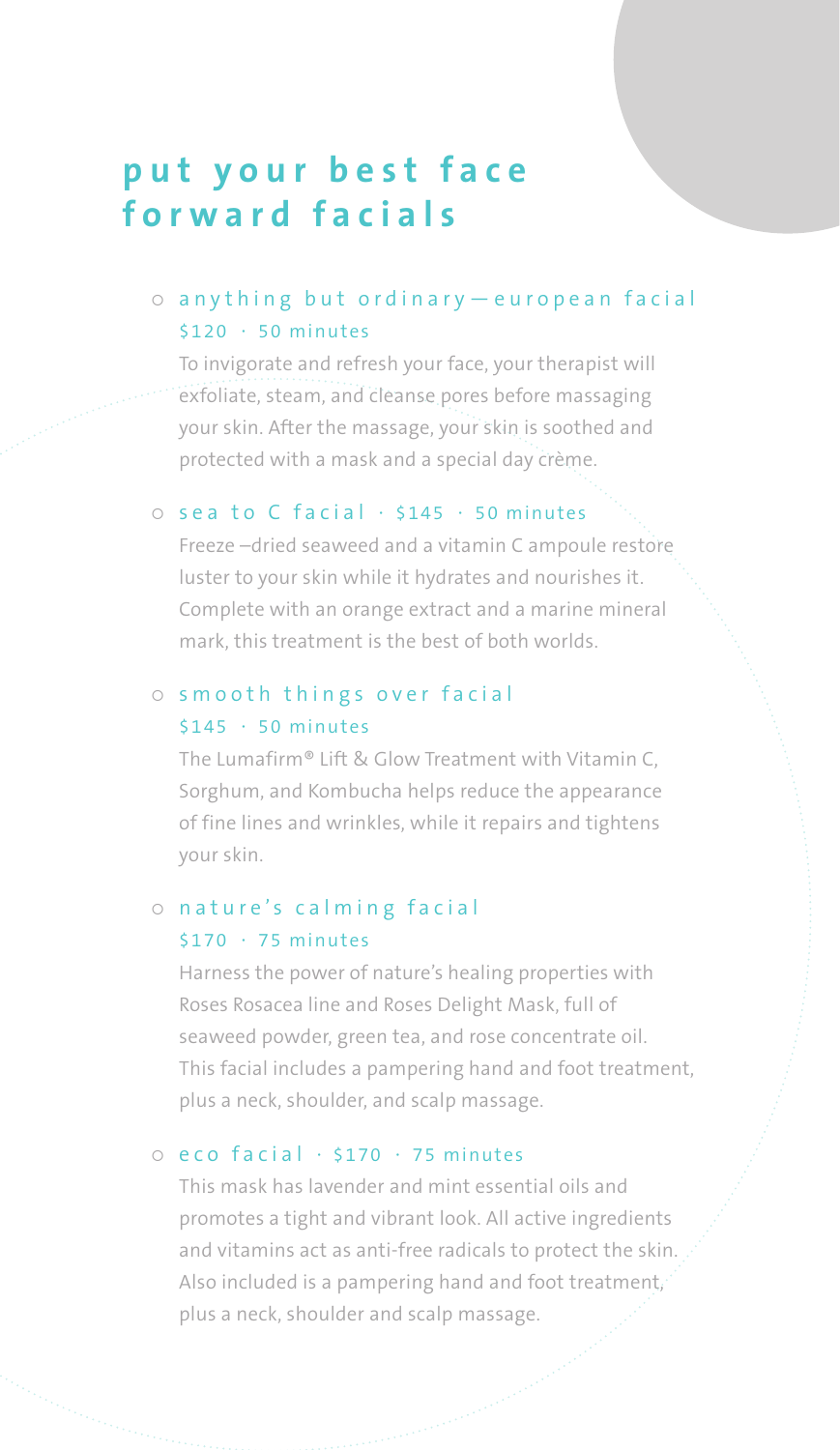# **put your best face forward facials**

#### o anything but ordinary - european facial  $$120 \cdot 50$  minutes

To invigorate and refresh your face, your therapist will exfoliate, steam, and cleanse pores before massaging your skin. After the massage, your skin is soothed and protected with a mask and a special day crème.

#### $\circ$  sea to C facial  $\cdot$  \$145  $\cdot$  50 minutes

Freeze –dried seaweed and a vitamin C ampoule restore luster to your skin while it hydrates and nourishes it. Complete with an orange extract and a marine mineral mark, this treatment is the best of both worlds.

#### $\circ$  smooth things over facial \$145 · 50 minutes

The Lumafirm® Lift & Glow Treatment with Vitamin C, Sorghum, and Kombucha helps reduce the appearance of fine lines and wrinkles, while it repairs and tightens your skin.

#### o nature's calming facial  $$170 \cdot 75$  minutes

Harness the power of nature's healing properties with Roses Rosacea line and Roses Delight Mask, full of seaweed powder, green tea, and rose concentrate oil. This facial includes a pampering hand and foot treatment, plus a neck, shoulder, and scalp massage.

#### $\circ$  eco facial  $\cdot$  \$170  $\cdot$  75 minutes

This mask has lavender and mint essential oils and promotes a tight and vibrant look. All active ingredients and vitamins act as anti-free radicals to protect the skin. Also included is a pampering hand and foot treatment, plus a neck, shoulder and scalp massage.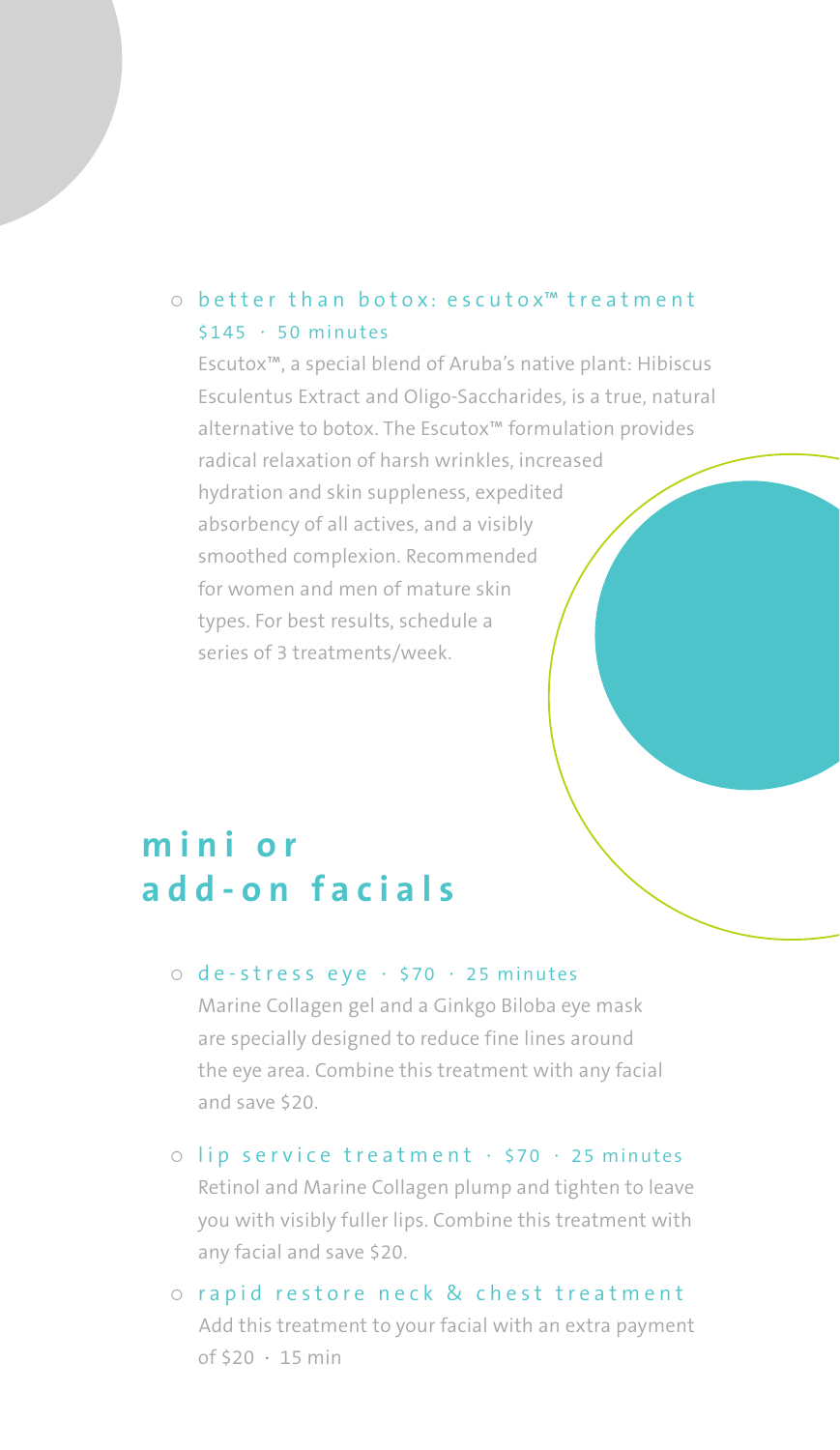#### $\circ$  better than botox: escutox<sup> $m$ </sup> treatment \$145 · 50 minutes

Escutox™, a special blend of Aruba's native plant: Hibiscus Esculentus Extract and Oligo-Saccharides, is a true, natural alternative to botox. The Escutox™ formulation provides radical relaxation of harsh wrinkles, increased hydration and skin suppleness, expedited absorbency of all actives, and a visibly smoothed complexion. Recommended for women and men of mature skin types. For best results, schedule a series of 3 treatments/week.

# **m i n i o r add-on facials**

#### $\circ$  de-stress eye  $\cdot$  \$70  $\cdot$  25 minutes

Marine Collagen gel and a Ginkgo Biloba eye mask are specially designed to reduce fine lines around the eye area. Combine this treatment with any facial and save \$20.

- $\circ$  lip service treatment  $\cdot$  \$70  $\cdot$  25 minutes Retinol and Marine Collagen plump and tighten to leave you with visibly fuller lips. Combine this treatment with any facial and save \$20.
- o rapid restore neck & chest treatment Add this treatment to your facial with an extra payment of \$20 · 15 min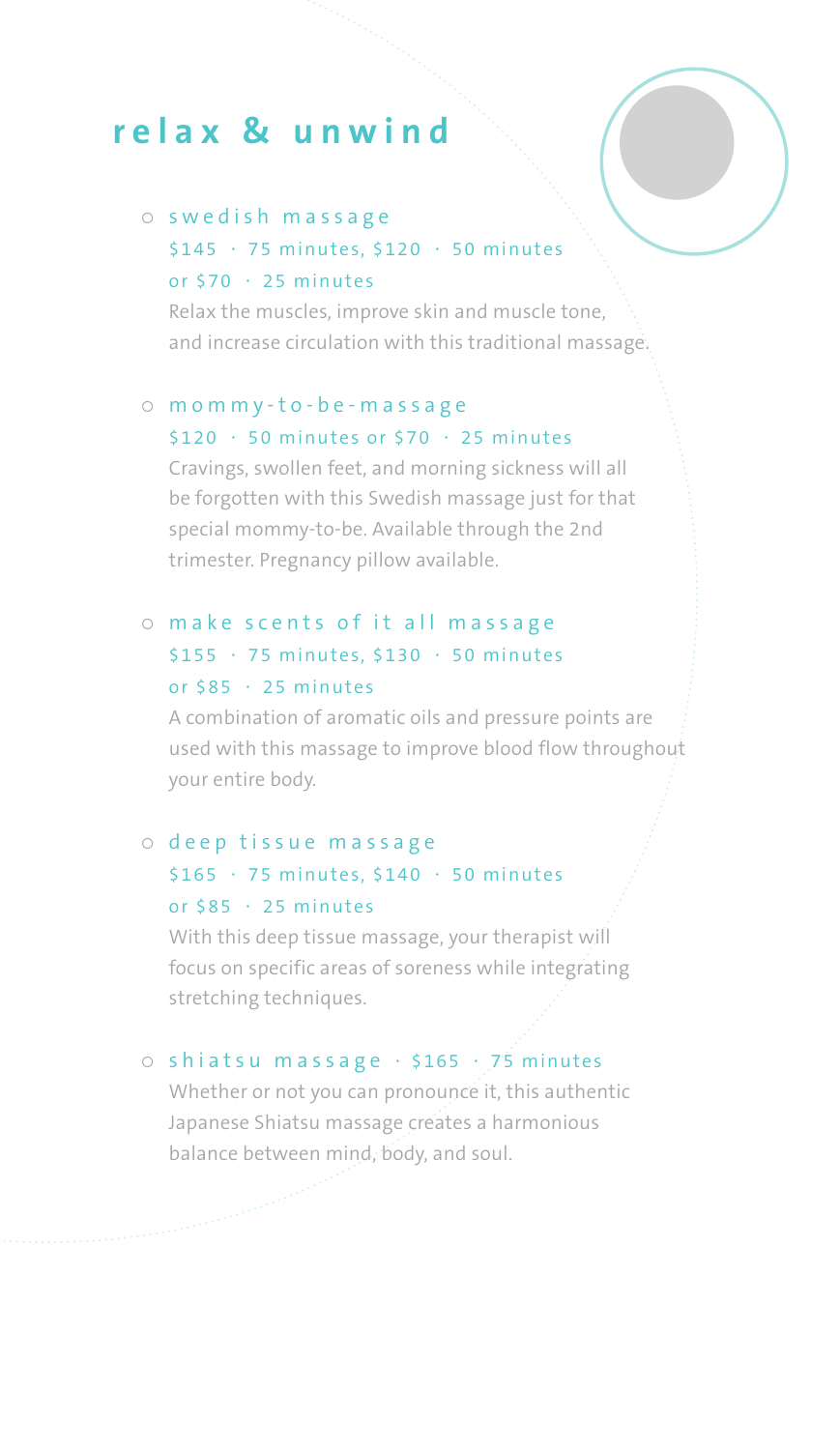# **relax & unwind**

## $\circ$  swedish massage \$145 · 75 minutes, \$120 · 50 minutes or \$70 · 25 minutes

Relax the muscles, improve skin and muscle tone, and increase circulation with this traditional massage.

#### $\circ$  mommy-to-be-massage \$120 · 50 minutes or \$70 · 25 minutes

Cravings, swollen feet, and morning sickness will all be forgotten with this Swedish massage just for that special mommy-to-be. Available through the 2nd trimester. Pregnancy pillow available.

#### o make scents of it all massage \$155 · 75 minutes, \$130 · 50 minutes or  $$85 \cdot 25$  minutes

A combination of aromatic oils and pressure points are used with this massage to improve blood flow throughout your entire body.

#### o deep tissue massage

## \$165 · 75 minutes, \$140 · 50 minutes or  $$85 \cdot 25$  minutes

With this deep tissue massage, your therapist will focus on specific areas of soreness while integrating stretching techniques.

#### $\circ$  shiatsu massage  $\cdot$  \$165  $\cdot$  75 minutes

Whether or not you can pronounce it, this authentic Japanese Shiatsu massage creates a harmonious balance between mind, body, and soul.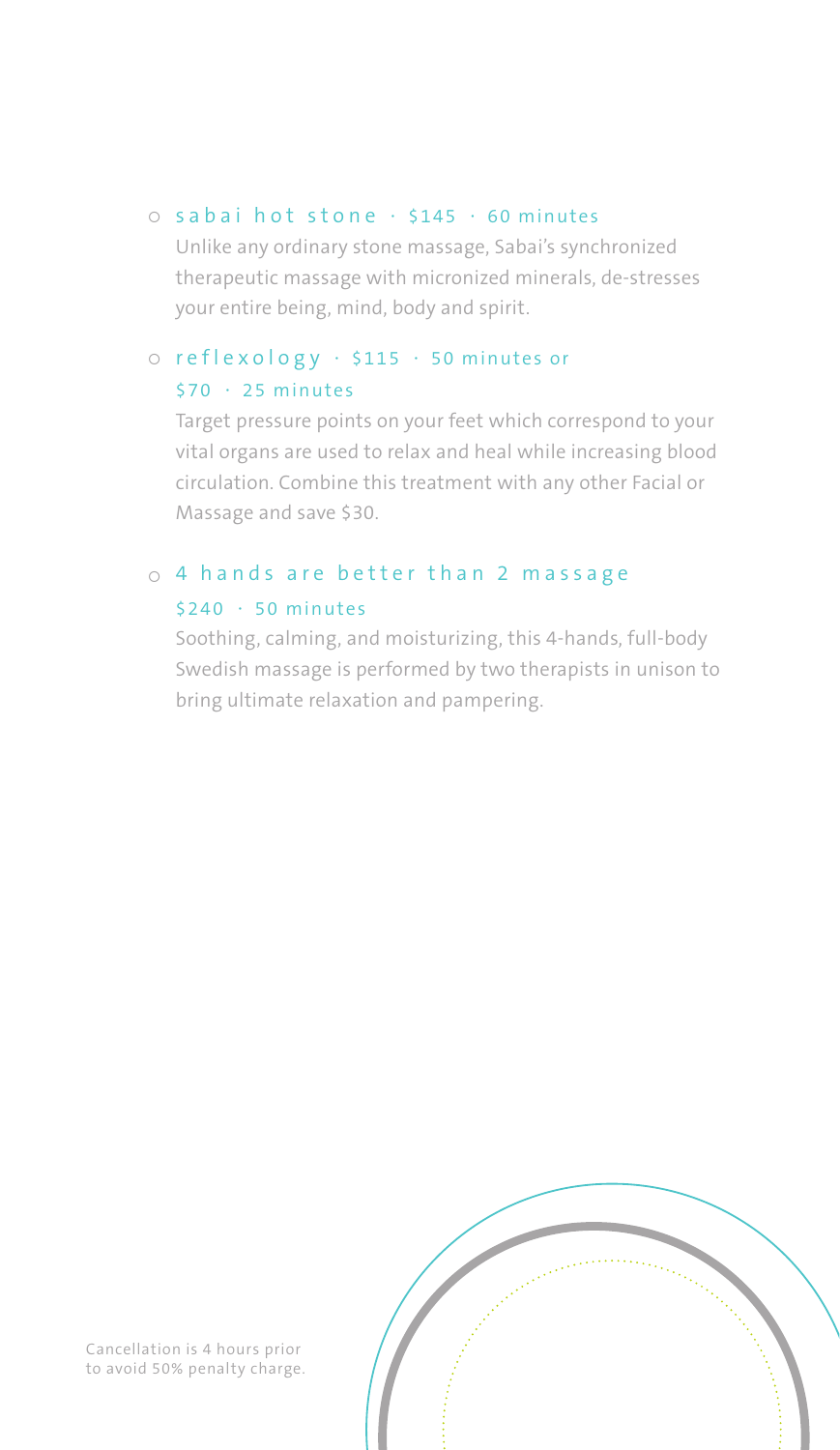#### $\circ$  sabai hot stone  $\cdot$  \$145  $\cdot$  60 minutes

Unlike any ordinary stone massage, Sabai's synchronized therapeutic massage with micronized minerals, de-stresses your entire being, mind, body and spirit.

#### ¡ reflexology · \$115 · 50 minutes or \$70 · 25 minutes

Target pressure points on your feet which correspond to your vital organs are used to relax and heal while increasing blood circulation. Combine this treatment with any other Facial or Massage and save \$30.

#### $<sub>o</sub>$  4 hands are better than 2 massage</sub> \$240 · 50 minutes

Soothing, calming, and moisturizing, this 4-hands, full-body Swedish massage is performed by two therapists in unison to bring ultimate relaxation and pampering.



Cancellation is 4 hours prior to avoid 50% penalty charge.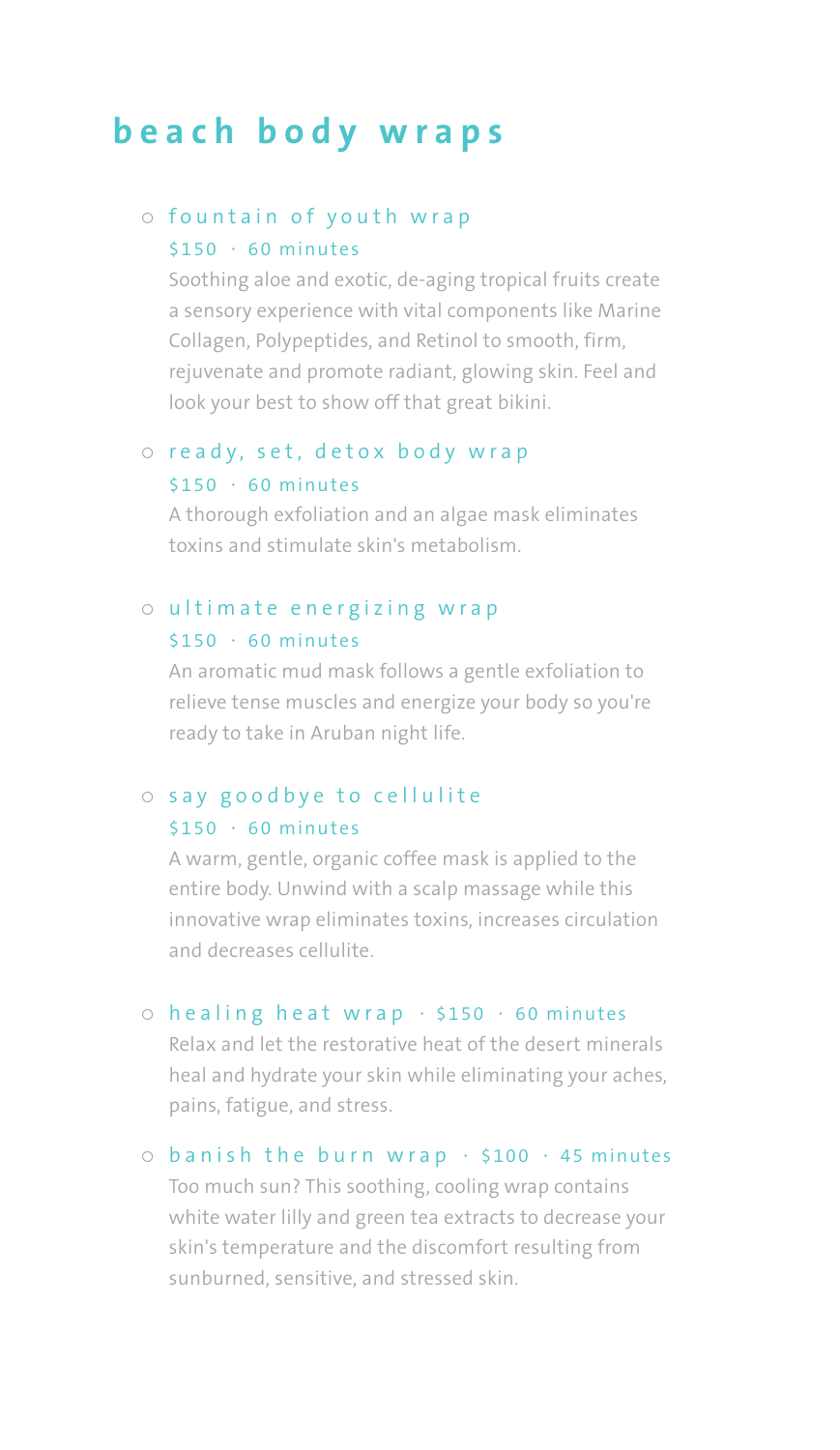# **beach body wraps**

#### o fountain of youth wrap  $$150 \cdot 60$  minutes

Soothing aloe and exotic, de-aging tropical fruits create a sensory experience with vital components like Marine Collagen, Polypeptides, and Retinol to smooth, firm, rejuvenate and promote radiant, glowing skin. Feel and look your best to show off that great bikini.

#### o ready, set, detox body wrap \$150 · 60 minutes

A thorough exfoliation and an algae mask eliminates toxins and stimulate skin's metabolism.

#### o ultimate energizing wrap \$150 · 60 minutes

An aromatic mud mask follows a gentle exfoliation to relieve tense muscles and energize your body so you're ready to take in Aruban night life.

#### $\circ$  say goodbye to cellulite  $$150 \cdot 60$  minutes

A warm, gentle, organic coffee mask is applied to the entire body. Unwind with a scalp massage while this innovative wrap eliminates toxins, increases circulation and decreases cellulite.

#### $\circ$  healing heat wrap  $\cdot$  \$150  $\cdot$  60 minutes

Relax and let the restorative heat of the desert minerals heal and hydrate your skin while eliminating your aches, pains, fatigue, and stress.

#### $\circ$  banish the burn wrap  $\cdot$  \$100  $\cdot$  45 minutes

Too much sun? This soothing, cooling wrap contains white water lilly and green tea extracts to decrease your skin's temperature and the discomfort resulting from sunburned, sensitive, and stressed skin.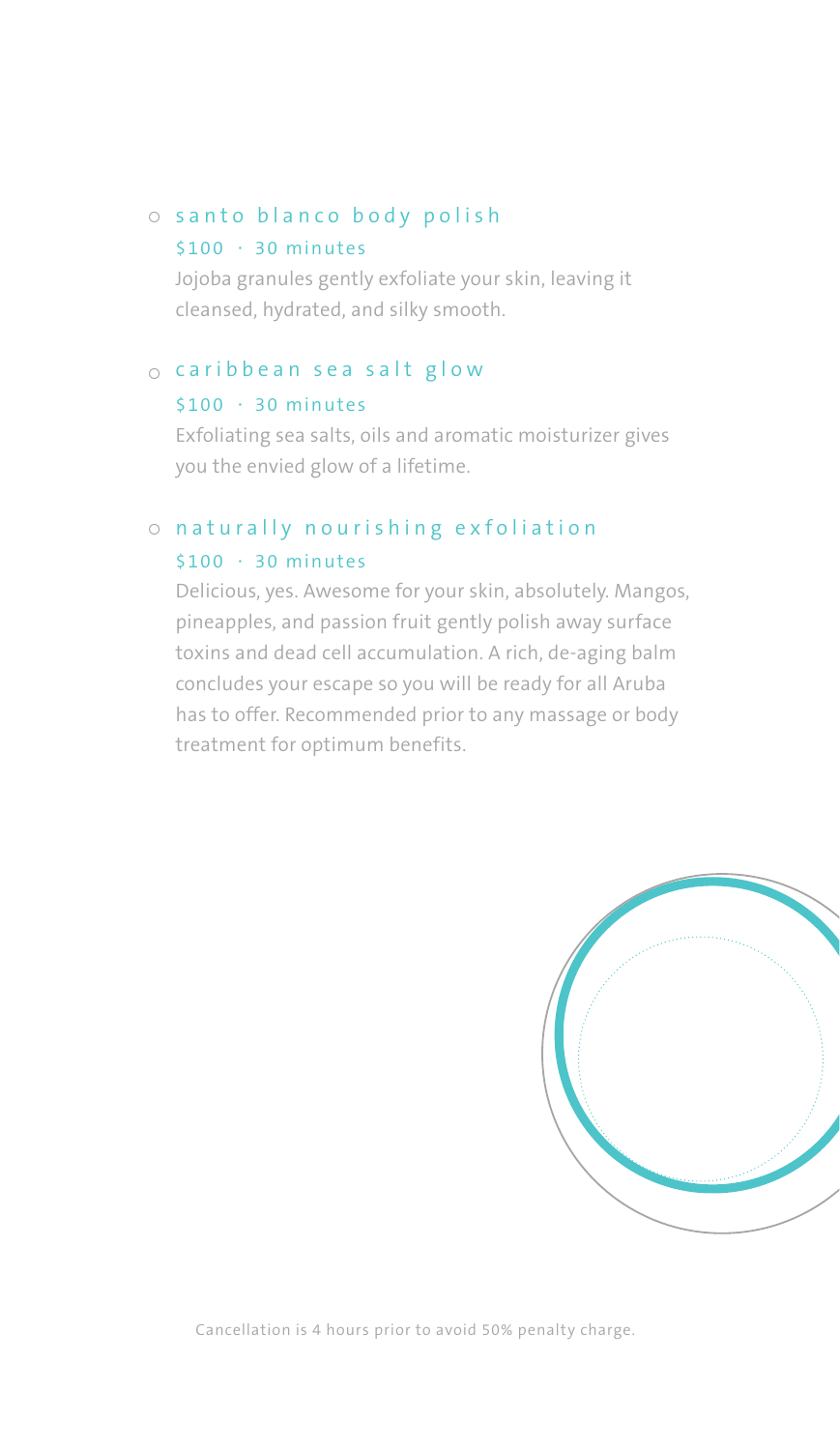#### $\circ$  santo blanco body polish

#### $$100 \cdot 30$  minutes

Jojoba granules gently exfoliate your skin, leaving it cleansed, hydrated, and silky smooth.

#### $\circ$  caribbean sea salt glow

#### $$100 \cdot 30$  minutes

Exfoliating sea salts, oils and aromatic moisturizer gives you the envied glow of a lifetime.

## o naturally nourishing exfoliation \$100 · 30 minutes

Delicious, yes. Awesome for your skin, absolutely. Mangos, pineapples, and passion fruit gently polish away surface toxins and dead cell accumulation. A rich, de-aging balm concludes your escape so you will be ready for all Aruba has to offer. Recommended prior to any massage or body treatment for optimum benefits.



Cancellation is 4 hours prior to avoid 50% penalty charge.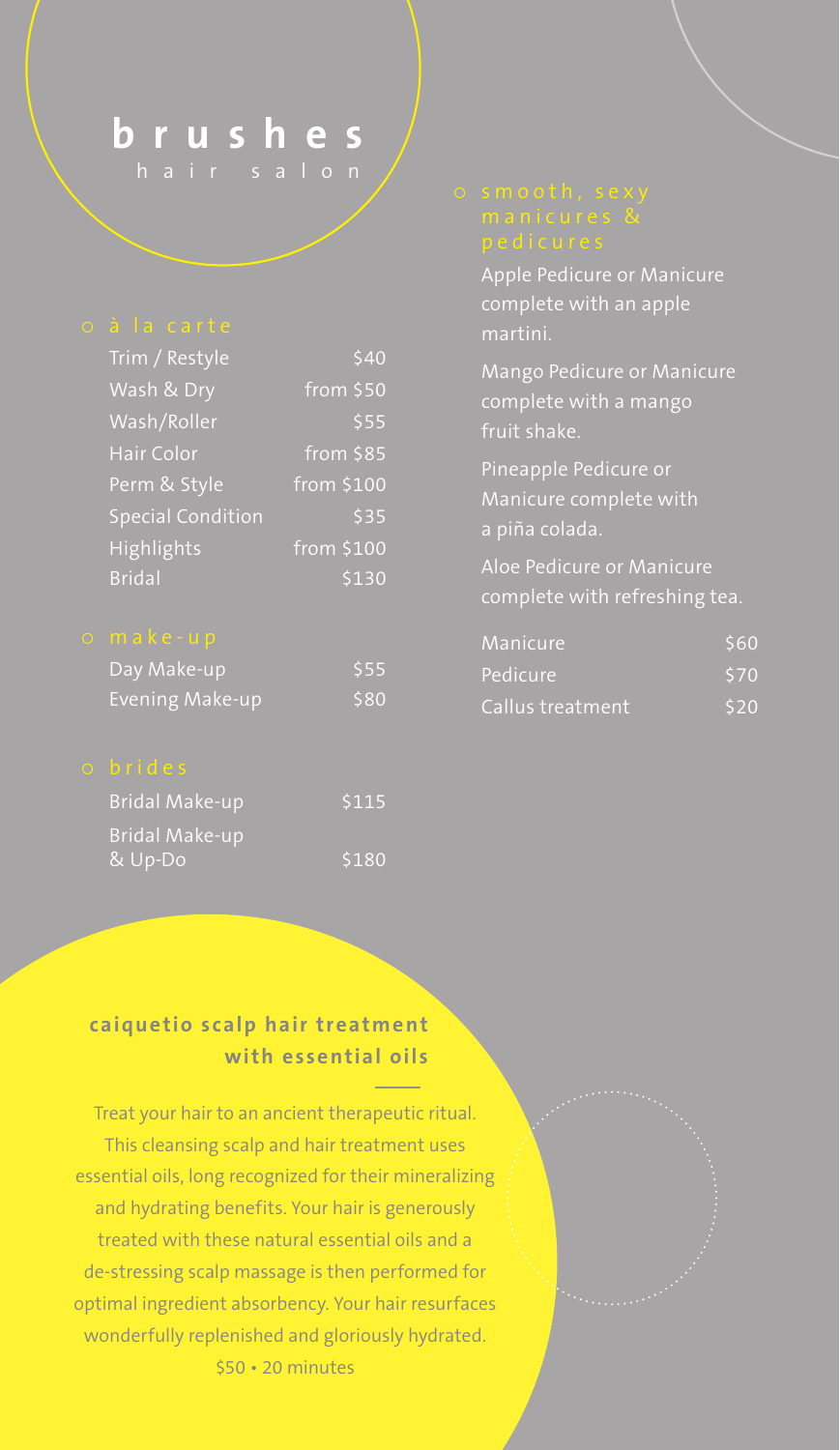# **brushes**

hair salon

| Trim / Restyle           | 540                       |
|--------------------------|---------------------------|
| Wash & Dry               | from \$50                 |
| Wash/Roller              | \$55                      |
| Hair Color               | $\sqrt{\text{from}}$ \$85 |
| Perm & Style             | from \$100                |
| <b>Special Condition</b> | \$35                      |
| Highlights               | from \$100                |
| <b>Bridal</b>            | \$130                     |

| Day Make-up     | \$55 |
|-----------------|------|
| Evening Make-up | \$80 |

| <b>Bridal Make-up</b> | 5115  |
|-----------------------|-------|
| <b>Bridal Make-up</b> |       |
| & Up-Do               | \$180 |

Apple Pedicure or Manicure complete with an apple martini.

Mango Pedicure or Manicure complete with a mango fruit shake.

Pineapple Pedicure or

complete with refreshing tea.

| Manicure         | \$60 |
|------------------|------|
| Pedicure         | \$70 |
| Callus treatment | \$20 |

## **caique tio scalp hair treatment with essential oils**

Treat your hair to an ancient therapeutic ritual. This cleansing scalp and hair treatment uses essential oils, long recognized for their mineralizing and hydrating benefits. Your hair is generously treated with these natural essential oils and a de-stressing scalp massage is then performed for optimal ingredient absorbency. Your hair resurfaces wonderfully replenished and gloriously hydrated. \$50 • 20 minutes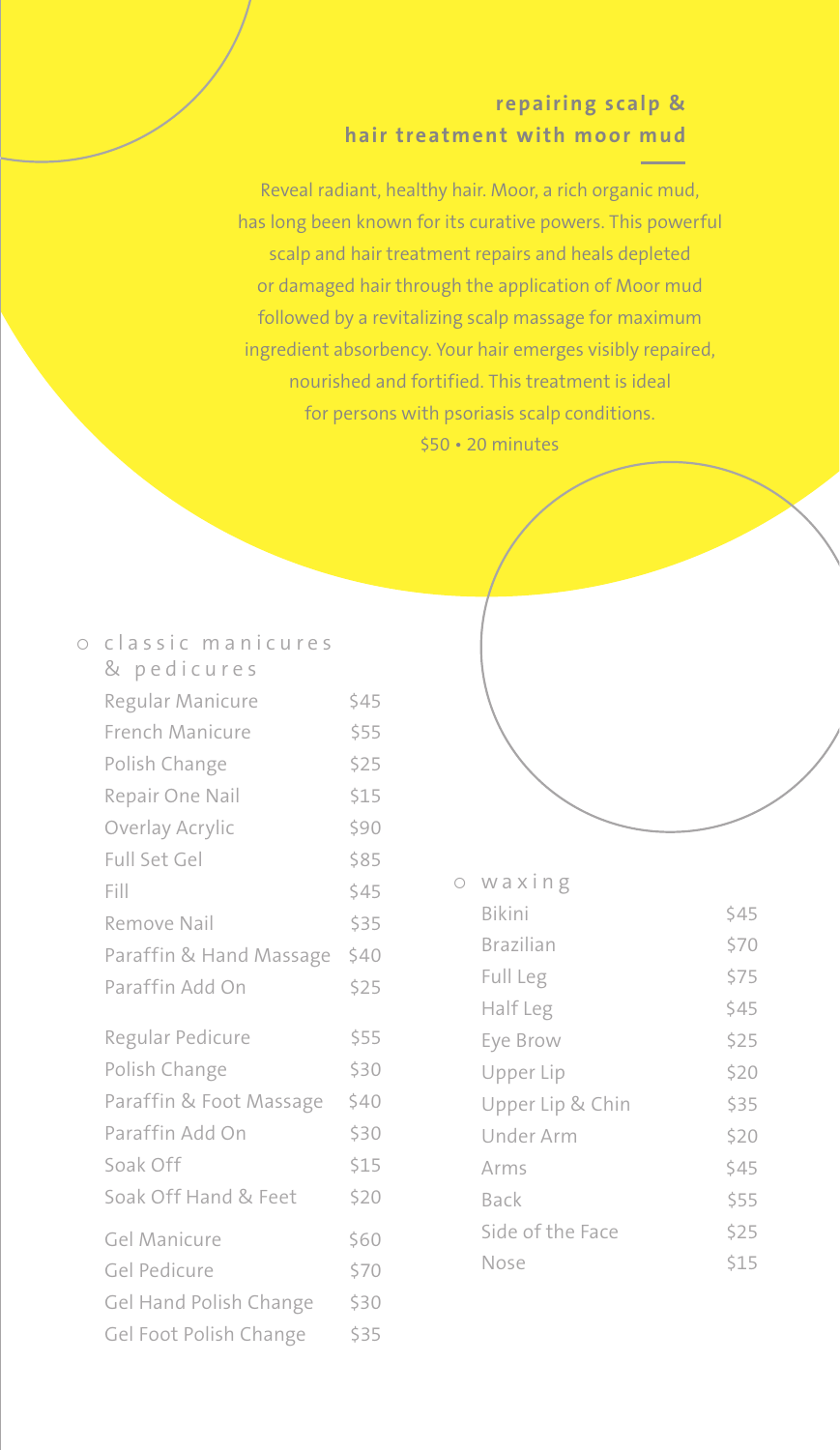## **repairing scalp & hair treatment with moor mud**

Reveal radiant, healthy hair. Moor, a rich organic mud, has long been known for its curative powers. This powerful scalp and hair treatment repairs and heals depleted or damaged hair through the application of Moor mud followed by a revitalizing scalp massage for maximum ingredient absorbency. Your hair emerges visibly repaired, nourished and fortified. This treatment is ideal for persons with psoriasis scalp conditions. \$50 • 20 minutes

| $\circ$ | classic manicures       |      |  |
|---------|-------------------------|------|--|
|         | & pedicures             |      |  |
|         | Regular Manicure        | \$45 |  |
|         | French Manicure         | \$55 |  |
|         | Polish Change           | \$25 |  |
|         | Repair One Nail         | \$15 |  |
|         | Overlay Acrylic         | \$90 |  |
|         | Full Set Gel            | \$85 |  |
|         | Fill                    | \$45 |  |
|         | Remove Nail             | \$35 |  |
|         | Paraffin & Hand Massage | \$40 |  |
|         | Paraffin Add On         | \$25 |  |
|         | Regular Pedicure        | \$55 |  |
|         | Polish Change           | \$30 |  |
|         | Paraffin & Foot Massage | \$40 |  |
|         | Paraffin Add On         | \$30 |  |
|         | Soak Off                | \$15 |  |
|         | Soak Off Hand & Feet    | \$20 |  |
|         | Gel Manicure            | \$60 |  |
|         | Gel Pedicure            | \$70 |  |
|         | Gel Hand Polish Change  | \$30 |  |
|         | Gel Foot Polish Change  | \$35 |  |

#### ¡ waxing

| Bikini           | \$45 |
|------------------|------|
| <b>Brazilian</b> | \$70 |
| Full Leg         | \$75 |
| Half Leg         | \$45 |
| Eye Brow         | \$25 |
| Upper Lip        | \$20 |
| Upper Lip & Chin | \$35 |
| Under Arm        | \$20 |
| Arms             | \$45 |
| Back             | \$55 |
| Side of the Face | \$25 |
| Nose             | S15  |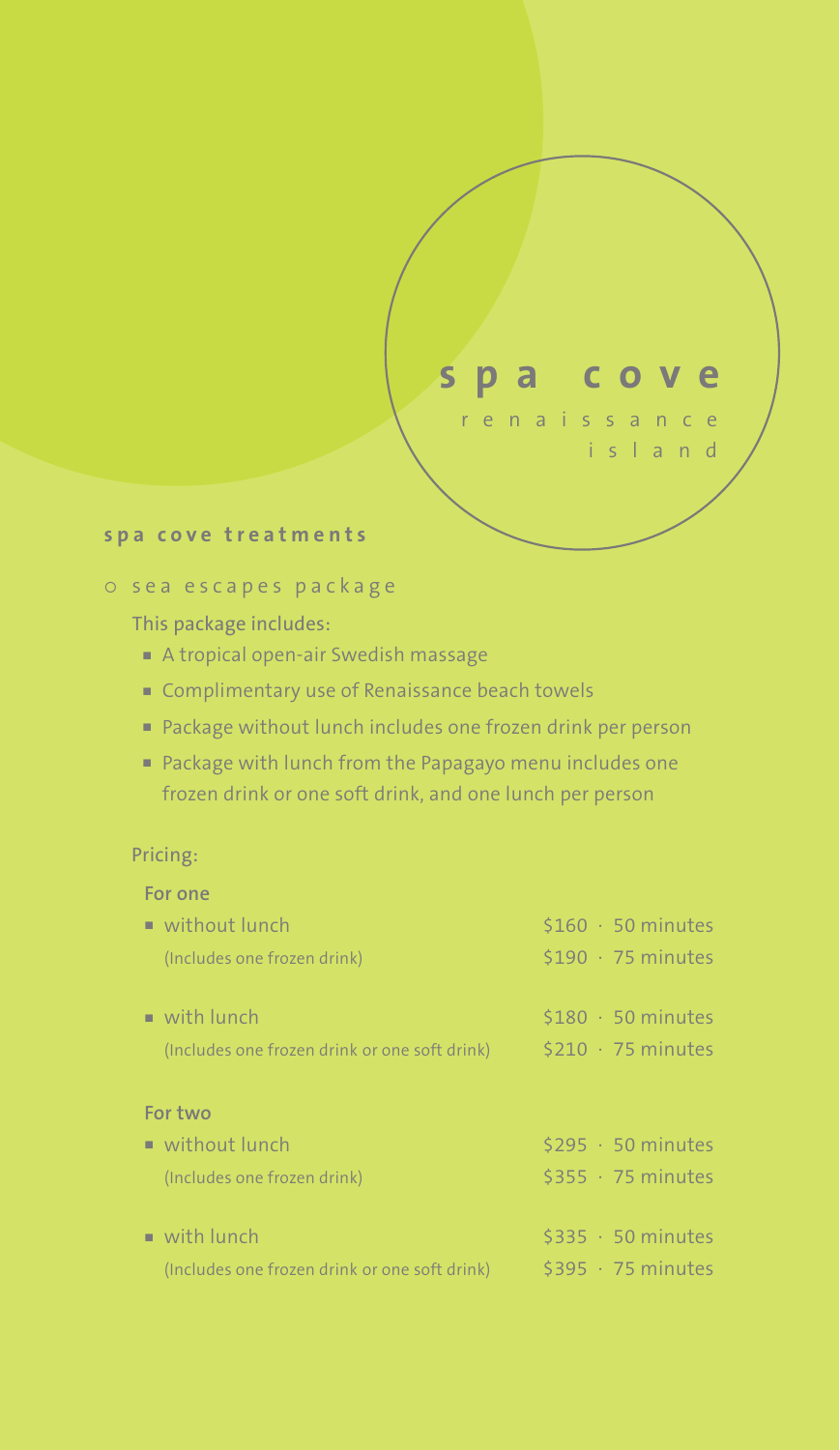# **spa cove**

renaissance island

#### **spa cove treatments**

#### o sea escapes package

This package includes:

- <sup>n</sup> A tropical open-air Swedish massage
- Complimentary use of Renaissance beach towels
- n Package without lunch includes one frozen drink per person
- n Package with lunch from the Papagayo menu includes one frozen drink or one soft drink, and one lunch per person

#### Pricing:

| For one                                       |                         |
|-----------------------------------------------|-------------------------|
| $\blacksquare$ without lunch                  | $$160 \cdot 50$ minutes |
| (Includes one frozen drink)                   | $$190 \cdot 75$ minutes |
| $\blacksquare$ with lunch                     | $$180 \cdot 50$ minutes |
| (Includes one frozen drink or one soft drink) | $$210 \cdot 75$ minutes |
| For two                                       |                         |
| ■ without lunch                               | $$295 \cdot 50$ minutes |
| (Includes one frozen drink)                   | $$355 \cdot 75$ minutes |
| $\blacksquare$ with lunch                     | $$335 \cdot 50$ minutes |
| (Includes one frozen drink or one soft drink) | $$395 \cdot 75$ minutes |